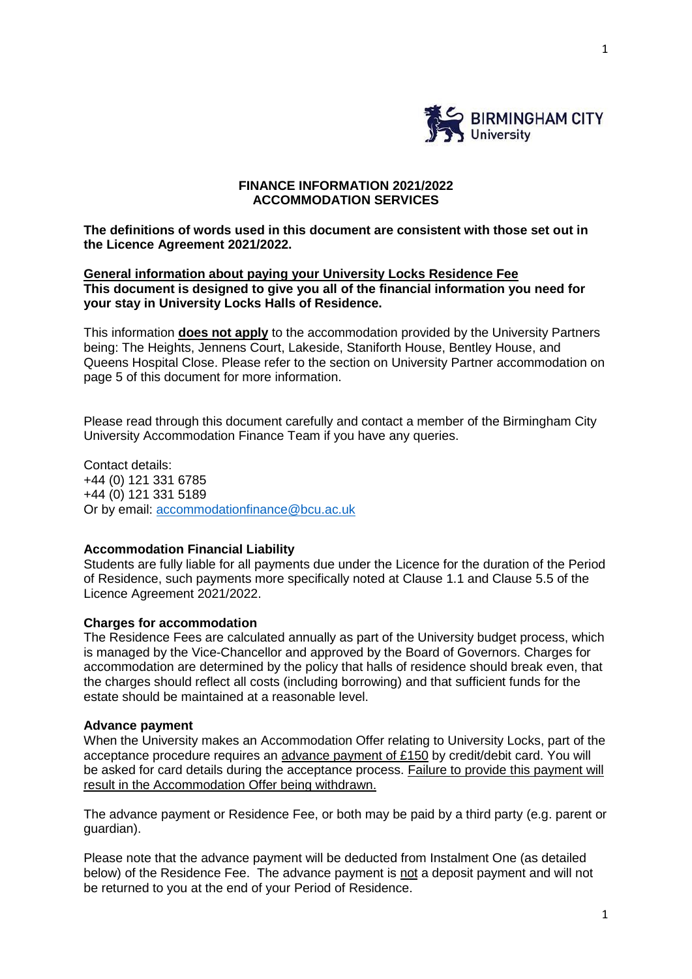

## **FINANCE INFORMATION 2021/2022 ACCOMMODATION SERVICES**

**The definitions of words used in this document are consistent with those set out in the Licence Agreement 2021/2022.**

### **General information about paying your University Locks Residence Fee This document is designed to give you all of the financial information you need for your stay in University Locks Halls of Residence.**

This information **does not apply** to the accommodation provided by the University Partners being: The Heights, Jennens Court, Lakeside, Staniforth House, Bentley House, and Queens Hospital Close. Please refer to the section on University Partner accommodation on page 5 of this document for more information.

Please read through this document carefully and contact a member of the Birmingham City University Accommodation Finance Team if you have any queries.

Contact details: +44 (0) 121 331 6785 +44 (0) 121 331 5189 Or by email: [accommodationfinance@bcu.ac.uk](mailto:accommodationfinance@bcu.ac.uk)

### **Accommodation Financial Liability**

Students are fully liable for all payments due under the Licence for the duration of the Period of Residence, such payments more specifically noted at Clause 1.1 and Clause 5.5 of the Licence Agreement 2021/2022.

### **Charges for accommodation**

The Residence Fees are calculated annually as part of the University budget process, which is managed by the Vice-Chancellor and approved by the Board of Governors. Charges for accommodation are determined by the policy that halls of residence should break even, that the charges should reflect all costs (including borrowing) and that sufficient funds for the estate should be maintained at a reasonable level.

### **Advance payment**

When the University makes an Accommodation Offer relating to University Locks, part of the acceptance procedure requires an advance payment of £150 by credit/debit card. You will be asked for card details during the acceptance process. Failure to provide this payment will result in the Accommodation Offer being withdrawn.

The advance payment or Residence Fee, or both may be paid by a third party (e.g. parent or guardian).

Please note that the advance payment will be deducted from Instalment One (as detailed below) of the Residence Fee. The advance payment is not a deposit payment and will not be returned to you at the end of your Period of Residence.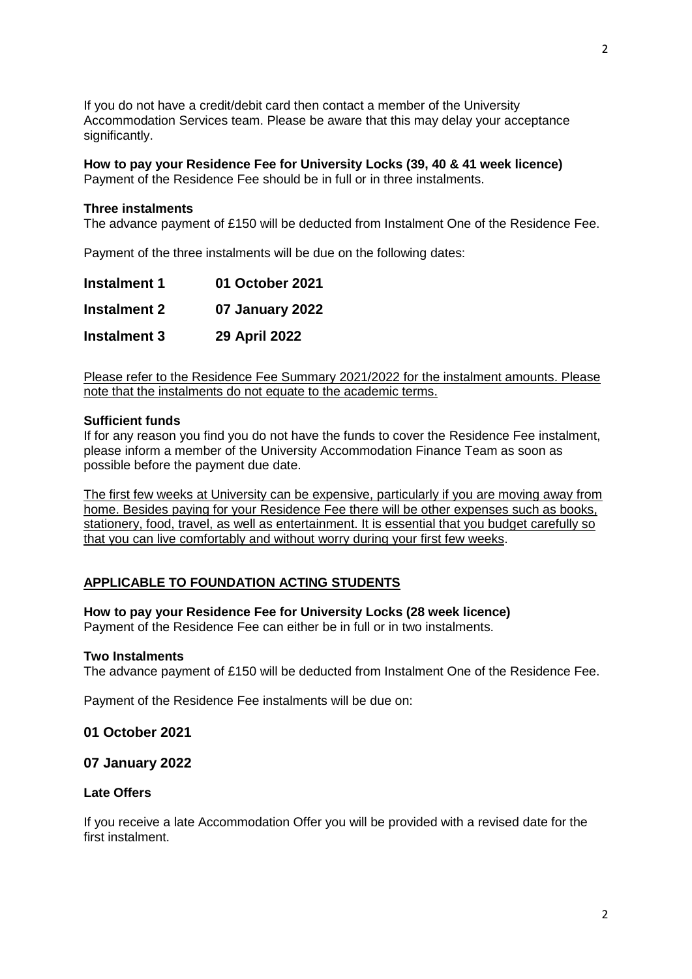If you do not have a credit/debit card then contact a member of the University Accommodation Services team. Please be aware that this may delay your acceptance significantly.

**How to pay your Residence Fee for University Locks (39, 40 & 41 week licence)** Payment of the Residence Fee should be in full or in three instalments.

#### **Three instalments**

The advance payment of £150 will be deducted from Instalment One of the Residence Fee.

Payment of the three instalments will be due on the following dates:

| <b>Instalment 1</b> | 01 October 2021 |
|---------------------|-----------------|
| <b>Instalment 2</b> | 07 January 2022 |
| <b>Instalment 3</b> | 29 April 2022   |

Please refer to the Residence Fee Summary 2021/2022 for the instalment amounts. Please note that the instalments do not equate to the academic terms.

#### **Sufficient funds**

If for any reason you find you do not have the funds to cover the Residence Fee instalment, please inform a member of the University Accommodation Finance Team as soon as possible before the payment due date.

The first few weeks at University can be expensive, particularly if you are moving away from home. Besides paying for your Residence Fee there will be other expenses such as books, stationery, food, travel, as well as entertainment. It is essential that you budget carefully so that you can live comfortably and without worry during your first few weeks.

### **APPLICABLE TO FOUNDATION ACTING STUDENTS**

# **How to pay your Residence Fee for University Locks (28 week licence)**

Payment of the Residence Fee can either be in full or in two instalments.

#### **Two Instalments**

The advance payment of £150 will be deducted from Instalment One of the Residence Fee.

Payment of the Residence Fee instalments will be due on:

# **01 October 2021**

#### **07 January 2022**

### **Late Offers**

If you receive a late Accommodation Offer you will be provided with a revised date for the first instalment.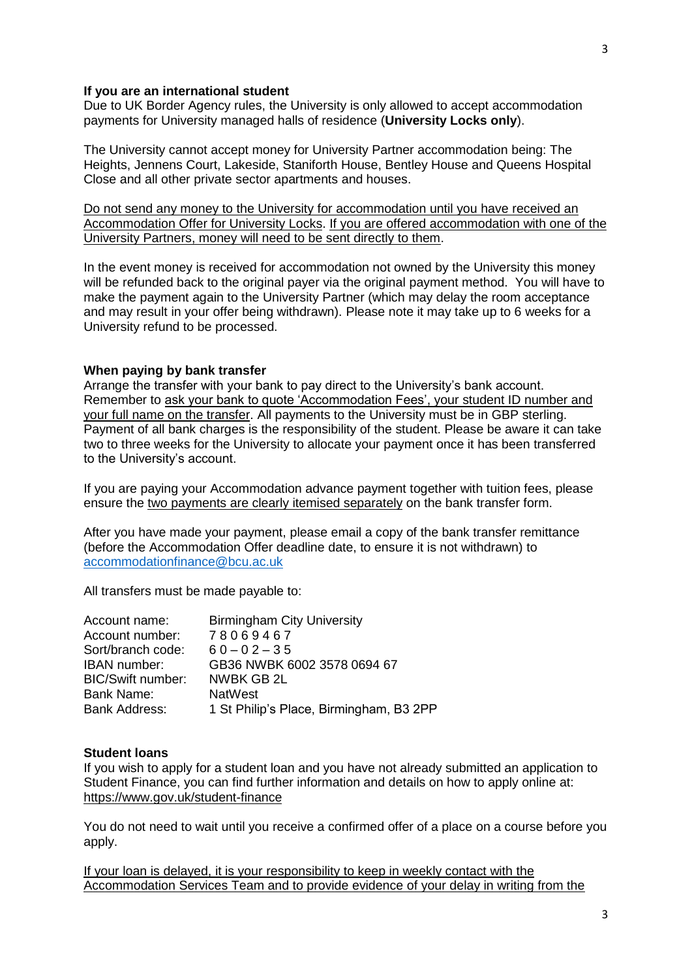#### **If you are an international student**

Due to UK Border Agency rules, the University is only allowed to accept accommodation payments for University managed halls of residence (**University Locks only**).

The University cannot accept money for University Partner accommodation being: The Heights, Jennens Court, Lakeside, Staniforth House, Bentley House and Queens Hospital Close and all other private sector apartments and houses.

Do not send any money to the University for accommodation until you have received an Accommodation Offer for University Locks. If you are offered accommodation with one of the University Partners, money will need to be sent directly to them.

In the event money is received for accommodation not owned by the University this money will be refunded back to the original payer via the original payment method. You will have to make the payment again to the University Partner (which may delay the room acceptance and may result in your offer being withdrawn). Please note it may take up to 6 weeks for a University refund to be processed.

#### **When paying by bank transfer**

Arrange the transfer with your bank to pay direct to the University's bank account. Remember to ask your bank to quote 'Accommodation Fees', your student ID number and your full name on the transfer. All payments to the University must be in GBP sterling. Payment of all bank charges is the responsibility of the student. Please be aware it can take two to three weeks for the University to allocate your payment once it has been transferred to the University's account.

If you are paying your Accommodation advance payment together with tuition fees, please ensure the two payments are clearly itemised separately on the bank transfer form.

After you have made your payment, please email a copy of the bank transfer remittance (before the Accommodation Offer deadline date, to ensure it is not withdrawn) to [accommodationfinance@bcu.ac.uk](mailto:accommodationfinance@bcu.ac.uk)

All transfers must be made payable to:

| <b>Birmingham City University</b>       |
|-----------------------------------------|
| 78069467                                |
| $60 - 02 - 35$                          |
| GB36 NWBK 6002 3578 0694 67             |
| NWBK GB 2L                              |
| <b>NatWest</b>                          |
| 1 St Philip's Place, Birmingham, B3 2PP |
|                                         |

#### **Student loans**

If you wish to apply for a student loan and you have not already submitted an application to Student Finance, you can find further information and details on how to apply online at: <https://www.gov.uk/student-finance>

You do not need to wait until you receive a confirmed offer of a place on a course before you apply.

If your loan is delayed, it is your responsibility to keep in weekly contact with the Accommodation Services Team and to provide evidence of your delay in writing from the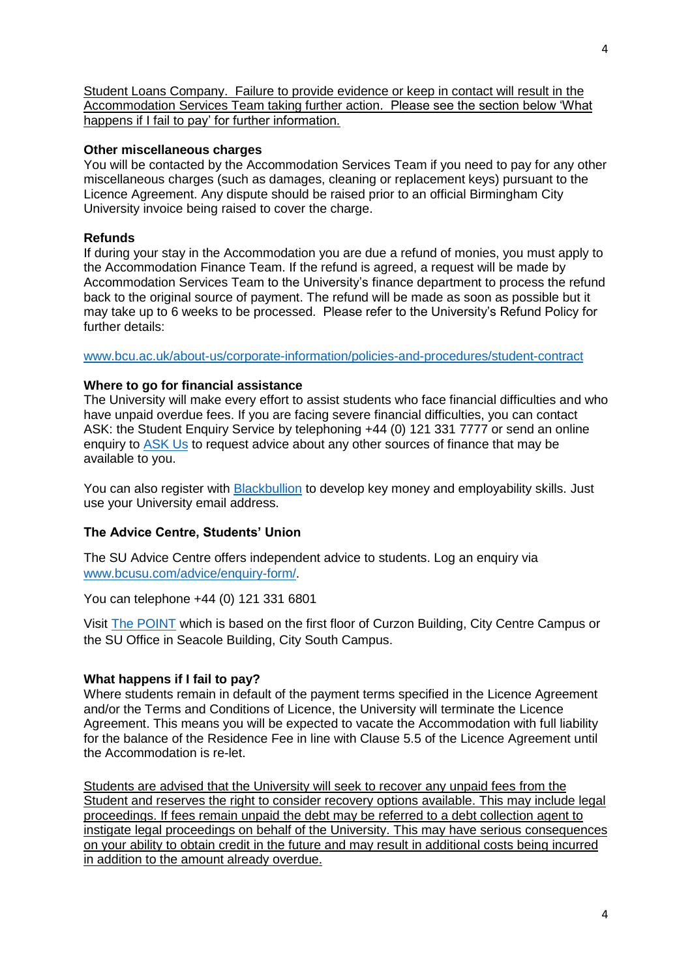Student Loans Company. Failure to provide evidence or keep in contact will result in the Accommodation Services Team taking further action. Please see the section below 'What happens if I fail to pay' for further information.

# **Other miscellaneous charges**

You will be contacted by the Accommodation Services Team if you need to pay for any other miscellaneous charges (such as damages, cleaning or replacement keys) pursuant to the Licence Agreement. Any dispute should be raised prior to an official Birmingham City University invoice being raised to cover the charge.

## **Refunds**

If during your stay in the Accommodation you are due a refund of monies, you must apply to the Accommodation Finance Team. If the refund is agreed, a request will be made by Accommodation Services Team to the University's finance department to process the refund back to the original source of payment. The refund will be made as soon as possible but it may take up to 6 weeks to be processed. Please refer to the University's Refund Policy for further details:

[www.bcu.ac.uk/about-us/corporate-information/policies-and-procedures/student-contract](https://www.bcu.ac.uk/about-us/corporate-information/policies-and-procedures/student-contract)

### **Where to go for financial assistance**

The University will make every effort to assist students who face financial difficulties and who have unpaid overdue fees. If you are facing severe financial difficulties, you can contact ASK: the Student Enquiry Service by telephoning +44 (0) 121 331 7777 or send an online enquiry to [ASK Us](https://iask.bcu.ac.uk/Login/login?) to request advice about any other sources of finance that may be available to you.

You can also register with [Blackbullion](https://www.blackbullion.com/) to develop key money and employability skills. Just use your University email address.

# **The Advice Centre, Students' Union**

The SU Advice Centre offers independent advice to students. Log an enquiry via [www.bcusu.com/advice/enquiry-form/.](http://www.bcusu.com/advice/enquiry-form/)

You can telephone +44 (0) 121 331 6801

Visit [The POINT](https://www.bcusu.com/the-point/) which is based on the first floor of Curzon Building, City Centre Campus or the SU Office in Seacole Building, City South Campus.

### **What happens if I fail to pay?**

Where students remain in default of the payment terms specified in the Licence Agreement and/or the Terms and Conditions of Licence, the University will terminate the Licence Agreement. This means you will be expected to vacate the Accommodation with full liability for the balance of the Residence Fee in line with Clause 5.5 of the Licence Agreement until the Accommodation is re-let.

Students are advised that the University will seek to recover any unpaid fees from the Student and reserves the right to consider recovery options available. This may include legal proceedings. If fees remain unpaid the debt may be referred to a debt collection agent to instigate legal proceedings on behalf of the University. This may have serious consequences on your ability to obtain credit in the future and may result in additional costs being incurred in addition to the amount already overdue.